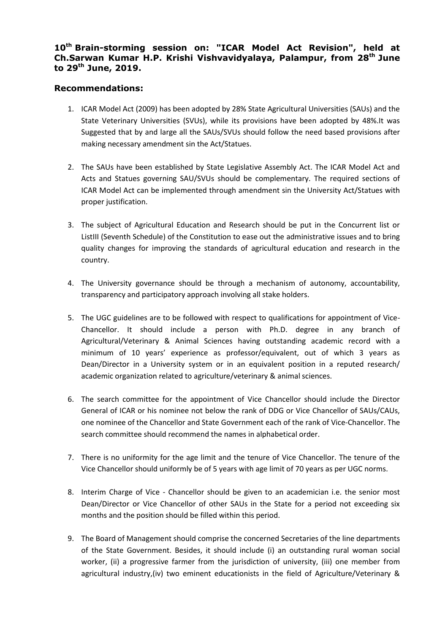## **10th Brain-storming session on: "ICAR Model Act Revision", held at Ch.Sarwan Kumar H.P. Krishi Vishvavidyalaya, Palampur, from 28th June to 29th June, 2019.**

## **Recommendations:**

- 1. ICAR Model Act (2009) has been adopted by 28% State Agricultural Universities (SAUs) and the State Veterinary Universities (SVUs), while its provisions have been adopted by 48%.It was Suggested that by and large all the SAUs/SVUs should follow the need based provisions after making necessary amendment sin the Act/Statues.
- 2. The SAUs have been established by State Legislative Assembly Act. The ICAR Model Act and Acts and Statues governing SAU/SVUs should be complementary. The required sections of ICAR Model Act can be implemented through amendment sin the University Act/Statues with proper justification.
- 3. The subject of Agricultural Education and Research should be put in the Concurrent list or ListIII (Seventh Schedule) of the Constitution to ease out the administrative issues and to bring quality changes for improving the standards of agricultural education and research in the country.
- 4. The University governance should be through a mechanism of autonomy, accountability, transparency and participatory approach involving all stake holders.
- 5. The UGC guidelines are to be followed with respect to qualifications for appointment of Vice-Chancellor. It should include a person with Ph.D. degree in any branch of Agricultural/Veterinary & Animal Sciences having outstanding academic record with a minimum of 10 years' experience as professor/equivalent, out of which 3 years as Dean/Director in a University system or in an equivalent position in a reputed research/ academic organization related to agriculture/veterinary & animal sciences.
- 6. The search committee for the appointment of Vice Chancellor should include the Director General of ICAR or his nominee not below the rank of DDG or Vice Chancellor of SAUs/CAUs, one nominee of the Chancellor and State Government each of the rank of Vice-Chancellor. The search committee should recommend the names in alphabetical order.
- 7. There is no uniformity for the age limit and the tenure of Vice Chancellor. The tenure of the Vice Chancellor should uniformly be of 5 years with age limit of 70 years as per UGC norms.
- 8. Interim Charge of Vice Chancellor should be given to an academician i.e. the senior most Dean/Director or Vice Chancellor of other SAUs in the State for a period not exceeding six months and the position should be filled within this period.
- 9. The Board of Management should comprise the concerned Secretaries of the line departments of the State Government. Besides, it should include (i) an outstanding rural woman social worker, (ii) a progressive farmer from the jurisdiction of university, (iii) one member from agricultural industry,(iv) two eminent educationists in the field of Agriculture/Veterinary &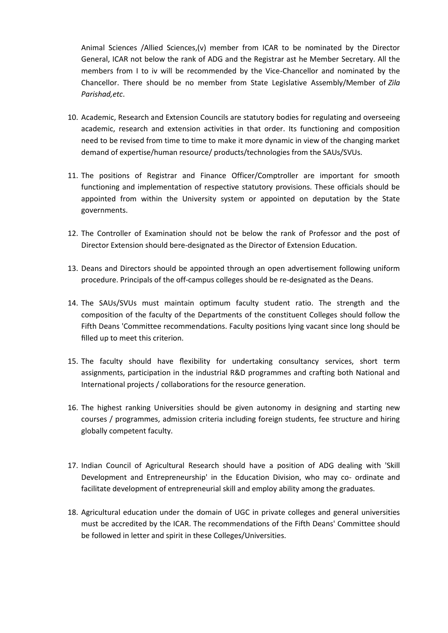Animal Sciences /Allied Sciences,(v) member from ICAR to be nominated by the Director General, ICAR not below the rank of ADG and the Registrar ast he Member Secretary. All the members from I to iv will be recommended by the Vice-Chancellor and nominated by the Chancellor. There should be no member from State Legislative Assembly/Member of *Zila Parishad,etc*.

- 10. Academic, Research and Extension Councils are statutory bodies for regulating and overseeing academic, research and extension activities in that order. Its functioning and composition need to be revised from time to time to make it more dynamic in view of the changing market demand of expertise/human resource/ products/technologies from the SAUs/SVUs.
- 11. The positions of Registrar and Finance Officer/Comptroller are important for smooth functioning and implementation of respective statutory provisions. These officials should be appointed from within the University system or appointed on deputation by the State governments.
- 12. The Controller of Examination should not be below the rank of Professor and the post of Director Extension should bere-designated as the Director of Extension Education.
- 13. Deans and Directors should be appointed through an open advertisement following uniform procedure. Principals of the off-campus colleges should be re-designated as the Deans.
- 14. The SAUs/SVUs must maintain optimum faculty student ratio. The strength and the composition of the faculty of the Departments of the constituent Colleges should follow the Fifth Deans 'Committee recommendations. Faculty positions lying vacant since long should be filled up to meet this criterion.
- 15. The faculty should have flexibility for undertaking consultancy services, short term assignments, participation in the industrial R&D programmes and crafting both National and International projects / collaborations for the resource generation.
- 16. The highest ranking Universities should be given autonomy in designing and starting new courses / programmes, admission criteria including foreign students, fee structure and hiring globally competent faculty.
- 17. Indian Council of Agricultural Research should have a position of ADG dealing with 'Skill Development and Entrepreneurship' in the Education Division, who may co- ordinate and facilitate development of entrepreneurial skill and employ ability among the graduates.
- 18. Agricultural education under the domain of UGC in private colleges and general universities must be accredited by the ICAR. The recommendations of the Fifth Deans' Committee should be followed in letter and spirit in these Colleges/Universities.